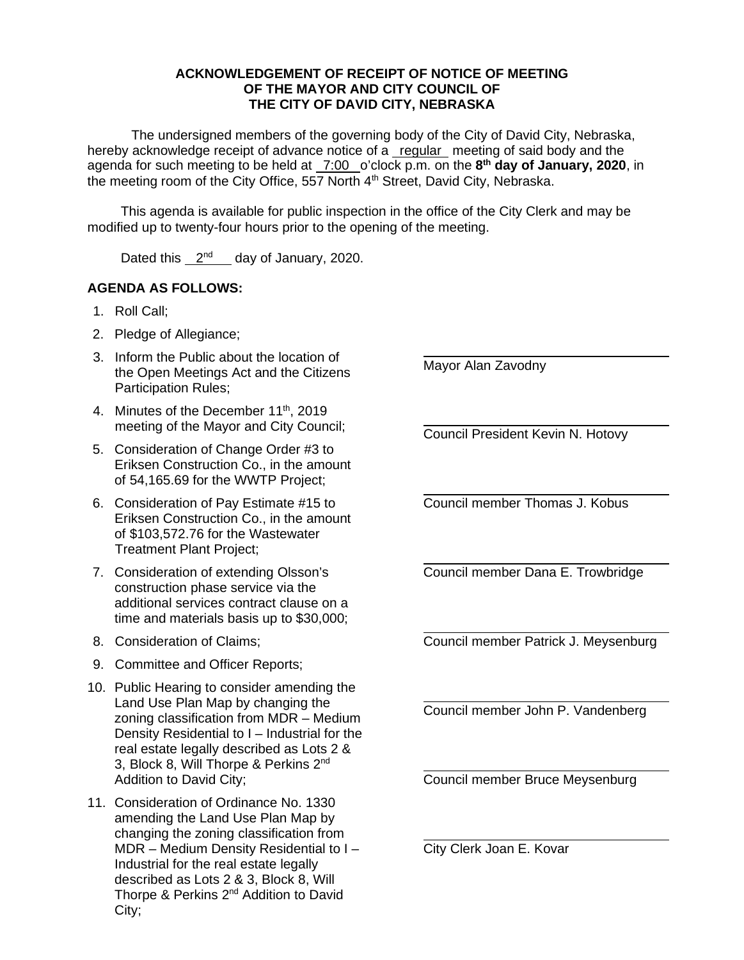## **ACKNOWLEDGEMENT OF RECEIPT OF NOTICE OF MEETING OF THE MAYOR AND CITY COUNCIL OF THE CITY OF DAVID CITY, NEBRASKA**

The undersigned members of the governing body of the City of David City, Nebraska, hereby acknowledge receipt of advance notice of a regular meeting of said body and the agenda for such meeting to be held at \_7:00 \_o'clock p.m. on the 8<sup>th</sup> day of January, 2020, in the meeting room of the City Office, 557 North 4<sup>th</sup> Street, David City, Nebraska.

This agenda is available for public inspection in the office of the City Clerk and may be modified up to twenty-four hours prior to the opening of the meeting.

Dated this  $2<sup>nd</sup>$  day of January, 2020.

## **AGENDA AS FOLLOWS:**

- 1. Roll Call;
- 2. Pledge of Allegiance;
- 3. Inform the Public about the location of the Open Meetings Act and the Citizens Participation Rules;
- 4. Minutes of the December 11<sup>th</sup>, 2019 meeting of the Mayor and City Council;
- 5. Consideration of Change Order #3 to Eriksen Construction Co., in the amount of 54,165.69 for the WWTP Project;
- 6. Consideration of Pay Estimate #15 to Eriksen Construction Co., in the amount of \$103,572.76 for the Wastewater Treatment Plant Project;
- 7. Consideration of extending Olsson's construction phase service via the additional services contract clause on a time and materials basis up to \$30,000;
- 8. Consideration of Claims;
- 9. Committee and Officer Reports;
- 10. Public Hearing to consider amending the Land Use Plan Map by changing the zoning classification from MDR – Medium Density Residential to I – Industrial for the real estate legally described as Lots 2 & 3, Block 8, Will Thorpe & Perkins 2<sup>nd</sup> Addition to David City;
- 11. Consideration of Ordinance No. 1330 amending the Land Use Plan Map by changing the zoning classification from MDR – Medium Density Residential to I – Industrial for the real estate legally described as Lots 2 & 3, Block 8, Will Thorpe & Perkins 2<sup>nd</sup> Addition to David City;

Mayor Alan Zavodny

 $\overline{a}$ 

 $\overline{a}$ 

 $\overline{a}$ 

 $\overline{a}$ 

 $\overline{a}$ 

 $\overline{a}$ 

 $\overline{a}$ 

Council President Kevin N. Hotovy

Council member Thomas J. Kobus

 $\overline{a}$ Council member Dana E. Trowbridge

Council member Patrick J. Meysenburg

Council member John P. Vandenberg

Council member Bruce Meysenburg

City Clerk Joan E. Kovar